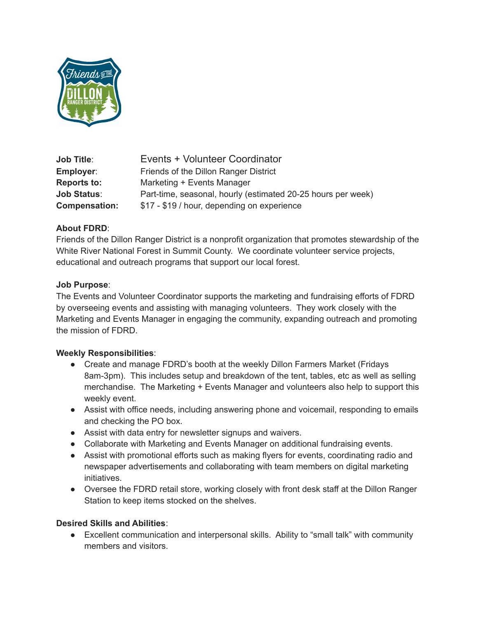

**Job Title**: Events + Volunteer Coordinator **Employer:** Friends of the Dillon Ranger District **Reports to:** Marketing + Events Manager **Job Status:** Part-time, seasonal, hourly (estimated 20-25 hours per week) **Compensation:** \$17 - \$19 / hour, depending on experience

#### **About FDRD**:

Friends of the Dillon Ranger District is a nonprofit organization that promotes stewardship of the White River National Forest in Summit County. We coordinate volunteer service projects, educational and outreach programs that support our local forest.

#### **Job Purpose**:

The Events and Volunteer Coordinator supports the marketing and fundraising efforts of FDRD by overseeing events and assisting with managing volunteers. They work closely with the Marketing and Events Manager in engaging the community, expanding outreach and promoting the mission of FDRD.

#### **Weekly Responsibilities**:

- Create and manage FDRD's booth at the weekly Dillon Farmers Market (Fridays 8am-3pm). This includes setup and breakdown of the tent, tables, etc as well as selling merchandise. The Marketing + Events Manager and volunteers also help to support this weekly event.
- Assist with office needs, including answering phone and voicemail, responding to emails and checking the PO box.
- Assist with data entry for newsletter signups and waivers.
- Collaborate with Marketing and Events Manager on additional fundraising events.
- Assist with promotional efforts such as making flyers for events, coordinating radio and newspaper advertisements and collaborating with team members on digital marketing initiatives.
- Oversee the FDRD retail store, working closely with front desk staff at the Dillon Ranger Station to keep items stocked on the shelves.

## **Desired Skills and Abilities**:

● Excellent communication and interpersonal skills. Ability to "small talk" with community members and visitors.